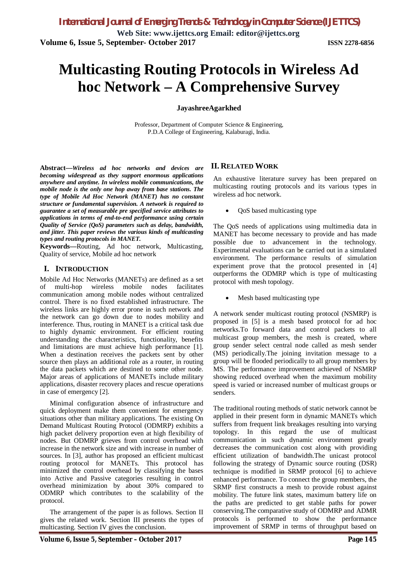# **Multicasting Routing Protocols in Wireless Ad hoc Network – A Comprehensive Survey**

#### **JayashreeAgarkhed**

Professor, Department of Computer Science & Engineering, P.D.A College of Engineering, Kalaburagi, India.

**Abstract—***Wireless ad hoc networks and devices are becoming widespread as they support enormous applications anywhere and anytime. In wireless mobile communications, the mobile node is the only one hop away from base stations. The type of Mobile Ad Hoc Network (MANET) has no constant structure or fundamental supervision. A network is required to guarantee a set of measurable pre specified service attributes to applications in terms of end-to-end performance using certain Quality of Service (QoS) parameters such as delay, bandwidth, and jitter. This paper reviews the various kinds of multicasting types and routing protocols in MANET.*

**Keywords—**Routing, Ad hoc network, Multicasting, Quality of service, Mobile ad hoc network

#### **I. INTRODUCTION**

Mobile Ad Hoc Networks (MANETs) are defined as a set of multi-hop wireless mobile nodes facilitates communication among mobile nodes without centralized control. There is no fixed established infrastructure. The wireless links are highly error prone in such network and the network can go down due to nodes mobility and interference. Thus, routing in MANET is a critical task due to highly dynamic environment. For efficient routing understanding the characteristics, functionality, benefits and limitations are must achieve high performance [1]. When a destination receives the packets sent by other source then plays an additional role as a router, in routing the data packets which are destined to some other node. Major areas of applications of MANETs include military applications, disaster recovery places and rescue operations in case of emergency [2].

Minimal configuration absence of infrastructure and quick deployment make them convenient for emergency situations other than military applications. The existing On Demand Multicast Routing Protocol (ODMRP) exhibits a high packet delivery proportion even at high flexibility of nodes. But ODMRP grieves from control overhead with increase in the network size and with increase in number of sources. In [3], author has proposed an efficient multicast routing protocol for MANETs. This protocol has minimized the control overhead by classifying the bases into Active and Passive categories resulting in control overhead minimization by about 30% compared to ODMRP which contributes to the scalability of the protocol.

The arrangement of the paper is as follows. Section II gives the related work. Section III presents the types of multicasting. Section IV gives the conclusion.

## **II. RELATED WORK**

An exhaustive literature survey has been prepared on multicasting routing protocols and its various types in wireless ad hoc network.

QoS based multicasting type

The QoS needs of applications using multimedia data in MANET has become necessary to provide and has made possible due to advancement in the technology. Experimental evaluations can be carried out in a simulated environment. The performance results of simulation experiment prove that the protocol presented in [4] outperforms the ODMRP which is type of multicasting protocol with mesh topology.

Mesh based multicasting type

A network sender multicast routing protocol (NSMRP) is proposed in [5] is a mesh based protocol for ad hoc networks.To forward data and control packets to all multicast group members, the mesh is created, where group sender select central node called as mesh sender (MS) periodically.The joining invitation message to a group will be flooded periodically to all group members by MS. The performance improvement achieved of NSMRP showing reduced overhead when the maximum mobility speed is varied or increased number of multicast groups or senders.

The traditional routing methods of static network cannot be applied in their present form in dynamic MANETs which suffers from frequent link breakages resulting into varying topology. In this regard the use of multicast communication in such dynamic environment greatly decreases the communication cost along with providing efficient utilization of bandwidth.The unicast protocol following the strategy of Dynamic source routing (DSR) technique is modified in SRMP protocol [6] to achieve enhanced performance. To connect the group members, the SRMP first constructs a mesh to provide robust against mobility. The future link states, maximum battery life on the paths are predicted to get stable paths for power conserving.The comparative study of ODMRP and ADMR protocols is performed to show the performance improvement of SRMP in terms of throughput based on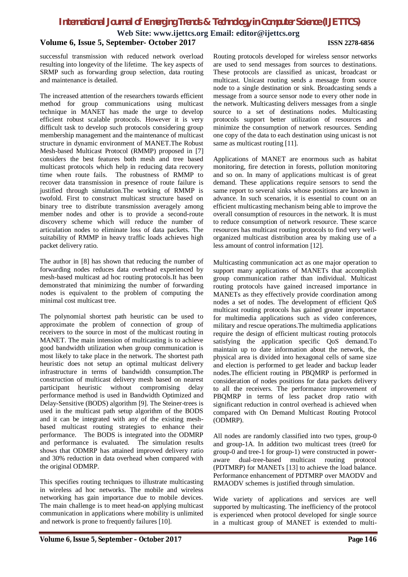# *International Journal of Emerging Trends & Technology in Computer Science (IJETTCS)*

**Web Site: www.ijettcs.org Email: editor@ijettcs.org**

## **Volume 6, Issue 5, September- October 2017 ISSN 2278-6856**

successful transmission with reduced network overload resulting into longevity of the lifetime. The key aspects of SRMP such as forwarding group selection, data routing and maintenance is detailed.

The increased attention of the researchers towards efficient method for group communications using multicast technique in MANET has made the urge to develop efficient robust scalable protocols. However it is very difficult task to develop such protocols considering group membership management and the maintenance of multicast structure in dynamic environment of MANET.The Robust Mesh-based Multicast Protocol (RMMP) proposed in [7] considers the best features both mesh and tree based multicast protocols which help in reducing data recovery time when route fails. The robustness of RMMP to recover data transmission in presence of route failure is justified through simulation.The working of RMMP is twofold. First to construct multicast structure based on binary tree to distribute transmission averagely among member nodes and other is to provide a second-route discovery scheme which will reduce the number of articulation nodes to eliminate loss of data packets. The suitability of RMMP in heavy traffic loads achieves high packet delivery ratio.

The author in [8] has shown that reducing the number of forwarding nodes reduces data overhead experienced by mesh-based multicast ad hoc routing protocols.It has been demonstrated that minimizing the number of forwarding nodes is equivalent to the problem of computing the minimal cost multicast tree.

The polynomial shortest path heuristic can be used to approximate the problem of connection of group of receivers to the source in most of the multicast routing in MANET. The main intension of multicasting is to achieve good bandwidth utilization when group communication is most likely to take place in the network. The shortest path heuristic does not setup an optimal multicast delivery infrastructure in terms of bandwidth consumption.The construction of multicast delivery mesh based on nearest participant heuristic without compromising delay performance method is used in Bandwidth Optimized and Delay-Sensitive (BODS) algorithm [9]. The Steiner-trees is used in the multicast path setup algorithm of the BODS and it can be integrated with any of the existing meshbased multicast routing strategies to enhance their performance. The BODS is integrated into the ODMRP and performance is evaluated. The simulation results shows that ODMRP has attained improved delivery ratio and 30% reduction in data overhead when compared with the original ODMRP.

This specifies routing techniques to illustrate multicasting in wireless ad hoc networks. The mobile and wireless networking has gain importance due to mobile devices. The main challenge is to meet head-on applying multicast communication in applications where mobility is unlimited and network is prone to frequently failures [10].

Routing protocols developed for wireless sensor networks are used to send messages from sources to destinations. These protocols are classified as unicast, broadcast or multicast. Unicast routing sends a message from source node to a single destination or sink. Broadcasting sends a message from a source sensor node to every other node in the network. Multicasting delivers messages from a single source to a set of destinations nodes. Multicasting protocols support better utilization of resources and minimize the consumption of network resources. Sending one copy of the data to each destination using unicast is not same as multicast routing [11].

Applications of MANET are enormous such as habitat monitoring, fire detection in forests, pollution monitoring and so on. In many of applications multicast is of great demand. These applications require sensors to send the same report to several sinks whose positions are known in advance. In such scenarios, it is essential to count on an efficient multicasting mechanism being able to improve the overall consumption of resources in the network. It is must to reduce consumption of network resource. These scarce resources has multicast routing protocols to find very wellorganized multicast distribution area by making use of a less amount of control information [12].

Multicasting communication act as one major operation to support many applications of MANETs that accomplish group communication rather than individual. Multicast routing protocols have gained increased importance in MANETs as they effectively provide coordination among nodes a set of nodes. The development of efficient QoS multicast routing protocols has gained greater importance for multimedia applications such as video conferences, military and rescue operations.The multimedia applications require the design of efficient multicast routing protocols satisfying the application specific QoS demand.To maintain up to date information about the network, the physical area is divided into hexagonal cells of same size and election is performed to get leader and backup leader nodes.The efficient routing in PBQMRP is performed in consideration of nodes positions for data packets delivery to all the receivers. The performance improvement of PBQMRP in terms of less packet drop ratio with significant reduction in control overhead is achieved when compared with On Demand Multicast Routing Protocol (ODMRP).

All nodes are randomly classified into two types, group-0 and group-1A. In addition two multicast trees (tree0 for group-0 and tree-1 for group-1) were constructed in poweraware dual-tree-based multicast routing protocol (PDTMRP) for MANETs [13] to achieve the load balance. Performance enhancement of PDTMRP over MAODV and RMAODV schemes is justified through simulation.

Wide variety of applications and services are well supported by multicasting. The inefficiency of the protocol is experienced when protocol developed for single source in a multicast group of MANET is extended to multi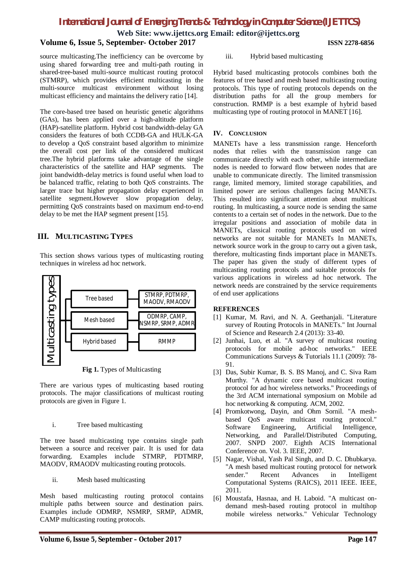*International Journal of Emerging Trends & Technology in Computer Science (IJETTCS)*

**Web Site: www.ijettcs.org Email: editor@ijettcs.org**

## **Volume 6, Issue 5, September- October 2017 ISSN 2278-6856**

source multicasting.The inefficiency can be overcome by using shared forwarding tree and multi-path routing in shared-tree-based multi-source multicast routing protocol (STMRP), which provides efficient multicasting in the multi-source multicast environment without losing multicast efficiency and maintains the delivery ratio [14].

The core-based tree based on heuristic genetic algorithms (GAs), has been applied over a high-altitude platform (HAP)-satellite platform. Hybrid cost bandwidth-delay GA considers the features of both CCDB-GA and HULK-GA to develop a QoS constraint based algorithm to minimize the overall cost per link of the considered multicast tree.The hybrid platforms take advantage of the single characteristics of the satellite and HAP segments. The joint bandwidth-delay metrics is found useful when load to be balanced traffic, relating to both QoS constraints. The larger trace but higher propagation delay experienced in satellite segment.However slow propagation delay, permitting QoS constraints based on maximum end-to-end delay to be met the HAP segment present [15].

## **III. MULTICASTING TYPES**

This section shows various types of multicasting routing techniques in wireless ad hoc network.



**Fig 1.** Types of Multicasting

There are various types of multicasting based routing protocols. The major classifications of multicast routing protocols are given in Figure 1.

## i. Tree based multicasting

The tree based multicasting type contains single path between a source and receiver pair. It is used for data forwarding. Examples include STMRP, PDTMRP, MAODV, RMAODV multicasting routing protocols.

ii. Mesh based multicasting

Mesh based multicasting routing protocol contains multiple paths between source and destination pairs. Examples include ODMRP, NSMRP, SRMP, ADMR, CAMP multicasting routing protocols.

#### iii. Hybrid based multicasting

Hybrid based multicasting protocols combines both the features of tree based and mesh based multicasting routing protocols. This type of routing protocols depends on the distribution paths for all the group members for construction. RMMP is a best example of hybrid based multicasting type of routing protocol in MANET [16].

## **IV. CONCLUSION**

MANETs have a less transmission range. Henceforth nodes that relies with the transmission range can communicate directly with each other, while intermediate nodes is needed to forward flow between nodes that are unable to communicate directly. The limited transmission range, limited memory, limited storage capabilities, and limited power are serious challenges facing MANETs. This resulted into significant attention about multicast routing. In multicasting, a source node is sending the same contents to a certain set of nodes in the network. Due to the irregular positions and association of mobile data in MANETs, classical routing protocols used on wired networks are not suitable for MANETs In MANETs, network source work in the group to carry out a given task, therefore, multicasting finds important place in MANETs. The paper has given the study of different types of multicasting routing protocols and suitable protocols for various applications in wireless ad hoc network. The network needs are constrained by the service requirements of end user applications

## **REFERENCES**

- [1] Kumar, M. Ravi, and N. A. Geethanjali. "Literature survey of Routing Protocols in MANETs." Int Journal of Science and Research 2.4 (2013): 33-40.
- [2] Junhai, Luo, et al. "A survey of multicast routing protocols for mobile ad-hoc networks." IEEE Communications Surveys & Tutorials 11.1 (2009): 78- 91.
- [3] Das, Subir Kumar, B. S. BS Manoj, and C. Siva Ram Murthy. "A dynamic core based multicast routing protocol for ad hoc wireless networks." Proceedings of the 3rd ACM international symposium on Mobile ad hoc networking & computing. ACM, 2002.
- [4] Promkotwong, Dayin, and Ohm Sornil. "A meshbased QoS aware multicast routing protocol." Software Engineering, Artificial Intelligence, Networking, and Parallel/Distributed Computing, 2007. SNPD 2007. Eighth ACIS International Conference on. Vol. 3. IEEE, 2007.
- [5] Nagar, Vishal, Yash Pal Singh, and D. C. Dhubkarya. "A mesh based multicast routing protocol for network sender." Recent Advances in Intelligent Computational Systems (RAICS), 2011 IEEE. IEEE, 2011.
- [6] Moustafa, Hasnaa, and H. Laboid. "A multicast ondemand mesh-based routing protocol in multihop mobile wireless networks." Vehicular Technology